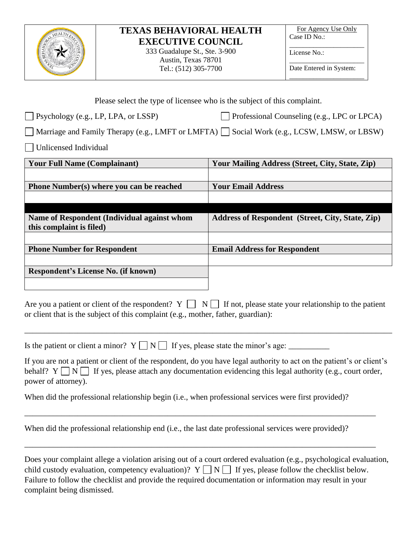

# **TEXAS BEHAVIORAL HEALTH EXECUTIVE COUNCIL**

333 Guadalupe St., Ste. 3-900 Austin, Texas 78701 Tel.: (512) 305-7700

For Agency Use Only Case ID No.:

\_\_\_\_\_\_\_\_\_\_\_\_\_\_\_\_\_\_\_\_\_\_ License No.:

\_\_\_\_\_\_\_\_\_\_\_\_\_\_\_\_\_\_\_\_\_\_ Date Entered in System: \_\_\_\_\_\_\_\_\_\_\_\_\_\_\_\_\_\_\_\_\_\_

| Please select the type of licensee who is the subject of this complaint.                                |                                                         |
|---------------------------------------------------------------------------------------------------------|---------------------------------------------------------|
| $\Box$ Psychology (e.g., LP, LPA, or LSSP)                                                              | Professional Counseling (e.g., LPC or LPCA)             |
| $\Box$ Marriage and Family Therapy (e.g., LMFT or LMFTA) $\Box$ Social Work (e.g., LCSW, LMSW, or LBSW) |                                                         |
| Unlicensed Individual                                                                                   |                                                         |
| <b>Your Full Name (Complainant)</b>                                                                     | <b>Your Mailing Address (Street, City, State, Zip)</b>  |
|                                                                                                         |                                                         |
| Phone Number(s) where you can be reached                                                                | <b>Your Email Address</b>                               |
|                                                                                                         |                                                         |
|                                                                                                         |                                                         |
| <b>Name of Respondent (Individual against whom</b><br>this complaint is filed)                          | <b>Address of Respondent (Street, City, State, Zip)</b> |
|                                                                                                         |                                                         |
| <b>Phone Number for Respondent</b>                                                                      | <b>Email Address for Respondent</b>                     |
|                                                                                                         |                                                         |
| <b>Respondent's License No. (if known)</b>                                                              |                                                         |
|                                                                                                         |                                                         |
| Are you a patient or client of the respondent? Y<br>$\mathbf N$                                         | If not, please state your relationship to the patient   |

or client that is the subject of this complaint (e.g., mother, father, guardian):

\_\_\_\_\_\_\_\_\_\_\_\_\_\_\_\_\_\_\_\_\_\_\_\_\_\_\_\_\_\_\_\_\_\_\_\_\_\_\_\_\_\_\_\_\_\_\_\_\_\_\_\_\_\_\_\_\_\_\_\_\_\_\_\_\_\_\_\_\_\_\_\_\_\_\_\_\_\_\_\_\_\_\_\_\_\_\_\_\_\_

Is the patient or client a minor? Y N If yes, please state the minor's age: \_\_\_\_\_\_\_\_\_\_

If you are not a patient or client of the respondent, do you have legal authority to act on the patient's or client's behalf?  $Y \cap N \cap I$  If yes, please attach any documentation evidencing this legal authority (e.g., court order, power of attorney).

\_\_\_\_\_\_\_\_\_\_\_\_\_\_\_\_\_\_\_\_\_\_\_\_\_\_\_\_\_\_\_\_\_\_\_\_\_\_\_\_\_\_\_\_\_\_\_\_\_\_\_\_\_\_\_\_\_\_\_\_\_\_\_\_\_\_\_\_\_\_\_\_\_\_\_\_\_\_\_\_\_\_\_\_\_\_

\_\_\_\_\_\_\_\_\_\_\_\_\_\_\_\_\_\_\_\_\_\_\_\_\_\_\_\_\_\_\_\_\_\_\_\_\_\_\_\_\_\_\_\_\_\_\_\_\_\_\_\_\_\_\_\_\_\_\_\_\_\_\_\_\_\_\_\_\_\_\_\_\_\_\_\_\_\_\_\_\_\_\_\_\_\_

When did the professional relationship begin (i.e., when professional services were first provided)?

When did the professional relationship end (i.e., the last date professional services were provided)?

| Does your complaint allege a violation arising out of a court ordered evaluation (e.g., psychological evaluation, |
|-------------------------------------------------------------------------------------------------------------------|
| child custody evaluation, competency evaluation)? $Y \cap N \cap K$ If yes, please follow the checklist below.    |
| Failure to follow the checklist and provide the required documentation or information may result in your          |
| complaint being dismissed.                                                                                        |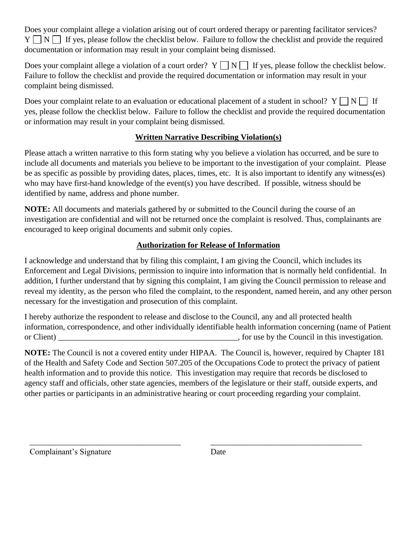Does your complaint allege a violation arising out of court ordered therapy or parenting facilitator services?  $Y \cap N \cap I$  If yes, please follow the checklist below. Failure to follow the checklist and provide the required documentation or information may result in your complaint being dismissed.

Does your complaint allege a violation of a court order?  $Y \cap N \cap I$  If yes, please follow the checklist below. Failure to follow the checklist and provide the required documentation or information may result in your complaint being dismissed.

Does your complaint relate to an evaluation or educational placement of a student in school?  $Y \cap N \cap I$  If yes, please follow the checklist below. Failure to follow the checklist and provide the required documentation or information may result in your complaint being dismissed.

# **Written Narrative Describing Violation(s)**

Please attach a written narrative to this form stating why you believe a violation has occurred, and be sure to include all documents and materials you believe to be important to the investigation of your complaint. Please be as specific as possible by providing dates, places, times, etc. It is also important to identify any witness(es) who may have first-hand knowledge of the event(s) you have described. If possible, witness should be identified by name, address and phone number.

**NOTE:** All documents and materials gathered by or submitted to the Council during the course of an investigation are confidential and will not be returned once the complaint is resolved. Thus, complainants are encouraged to keep original documents and submit only copies.

### **Authorization for Release of Information**

I acknowledge and understand that by filing this complaint, I am giving the Council, which includes its Enforcement and Legal Divisions, permission to inquire into information that is normally held confidential. In addition, I further understand that by signing this complaint, I am giving the Council permission to release and reveal my identity, as the person who filed the complaint, to the respondent, named herein, and any other person necessary for the investigation and prosecution of this complaint.

I hereby authorize the respondent to release and disclose to the Council, any and all protected health information, correspondence, and other individually identifiable health information concerning (name of Patient or Client) \_\_\_\_\_\_\_\_\_\_\_\_\_\_\_\_\_\_\_\_\_\_\_\_\_\_\_\_\_\_\_\_\_\_\_\_\_\_\_\_\_\_\_\_, for use by the Council in this investigation.

**NOTE:** The Council is not a covered entity under HIPAA. The Council is, however, required by Chapter 181 of the Health and Safety Code and Section 507.205 of the Occupations Code to protect the privacy of patient health information and to provide this notice. This investigation may require that records be disclosed to agency staff and officials, other state agencies, members of the legislature or their staff, outside experts, and other parties or participants in an administrative hearing or court proceeding regarding your complaint.

\_\_\_\_\_\_\_\_\_\_\_\_\_\_\_\_\_\_\_\_\_\_\_\_\_\_\_\_\_\_\_\_\_\_\_\_\_

\_\_\_\_\_\_\_\_\_\_\_\_\_\_\_\_\_\_\_\_\_\_\_\_\_\_\_\_\_\_\_\_\_\_\_\_\_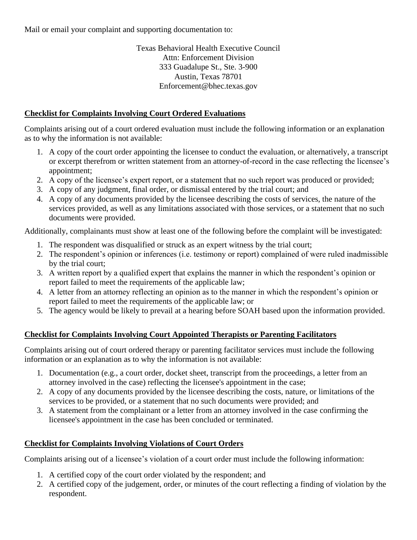Mail or email your complaint and supporting documentation to:

Texas Behavioral Health Executive Council Attn: Enforcement Division 333 Guadalupe St., Ste. 3-900 Austin, Texas 78701 Enforcement@bhec.texas.gov

#### **Checklist for Complaints Involving Court Ordered Evaluations**

Complaints arising out of a court ordered evaluation must include the following information or an explanation as to why the information is not available:

- 1. A copy of the court order appointing the licensee to conduct the evaluation, or alternatively, a transcript or excerpt therefrom or written statement from an attorney-of-record in the case reflecting the licensee's appointment;
- 2. A copy of the licensee's expert report, or a statement that no such report was produced or provided;
- 3. A copy of any judgment, final order, or dismissal entered by the trial court; and
- 4. A copy of any documents provided by the licensee describing the costs of services, the nature of the services provided, as well as any limitations associated with those services, or a statement that no such documents were provided.

Additionally, complainants must show at least one of the following before the complaint will be investigated:

- 1. The respondent was disqualified or struck as an expert witness by the trial court;
- 2. The respondent's opinion or inferences (i.e. testimony or report) complained of were ruled inadmissible by the trial court;
- 3. A written report by a qualified expert that explains the manner in which the respondent's opinion or report failed to meet the requirements of the applicable law;
- 4. A letter from an attorney reflecting an opinion as to the manner in which the respondent's opinion or report failed to meet the requirements of the applicable law; or
- 5. The agency would be likely to prevail at a hearing before SOAH based upon the information provided.

# **Checklist for Complaints Involving Court Appointed Therapists or Parenting Facilitators**

Complaints arising out of court ordered therapy or parenting facilitator services must include the following information or an explanation as to why the information is not available:

- 1. Documentation (e.g., a court order, docket sheet, transcript from the proceedings, a letter from an attorney involved in the case) reflecting the licensee's appointment in the case;
- 2. A copy of any documents provided by the licensee describing the costs, nature, or limitations of the services to be provided, or a statement that no such documents were provided; and
- 3. A statement from the complainant or a letter from an attorney involved in the case confirming the licensee's appointment in the case has been concluded or terminated.

#### **Checklist for Complaints Involving Violations of Court Orders**

Complaints arising out of a licensee's violation of a court order must include the following information:

- 1. A certified copy of the court order violated by the respondent; and
- 2. A certified copy of the judgement, order, or minutes of the court reflecting a finding of violation by the respondent.